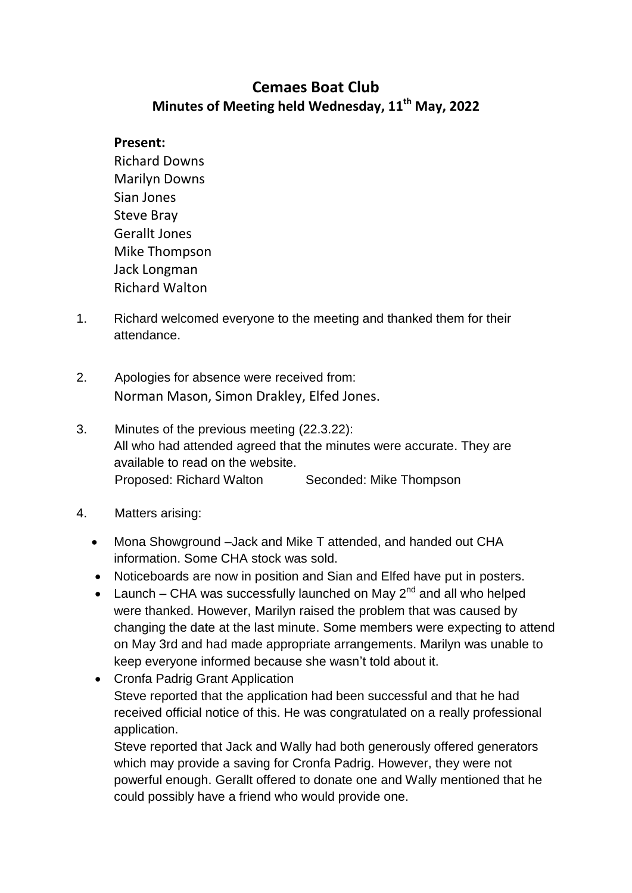## **Cemaes Boat Club Minutes of Meeting held Wednesday, 11th May, 2022**

## **Present:**

- Richard Downs Marilyn Downs Sian Jones Steve Bray Gerallt Jones Mike Thompson Jack Longman Richard Walton
- 1. Richard welcomed everyone to the meeting and thanked them for their attendance.
- 2. Apologies for absence were received from: Norman Mason, Simon Drakley, Elfed Jones.
- 3. Minutes of the previous meeting (22.3.22): All who had attended agreed that the minutes were accurate. They are available to read on the website. Proposed: Richard Walton Seconded: Mike Thompson
- 4. Matters arising:
	- Mona Showground -Jack and Mike T attended, and handed out CHA information. Some CHA stock was sold.
	- Noticeboards are now in position and Sian and Elfed have put in posters.
	- Launch CHA was successfully launched on May  $2^{nd}$  and all who helped were thanked. However, Marilyn raised the problem that was caused by changing the date at the last minute. Some members were expecting to attend on May 3rd and had made appropriate arrangements. Marilyn was unable to keep everyone informed because she wasn't told about it.
	- Cronfa Padrig Grant Application Steve reported that the application had been successful and that he had received official notice of this. He was congratulated on a really professional application. Steve reported that Jack and Wally had both generously offered generators which may provide a saving for Cronfa Padrig. However, they were not powerful enough. Gerallt offered to donate one and Wally mentioned that he

could possibly have a friend who would provide one.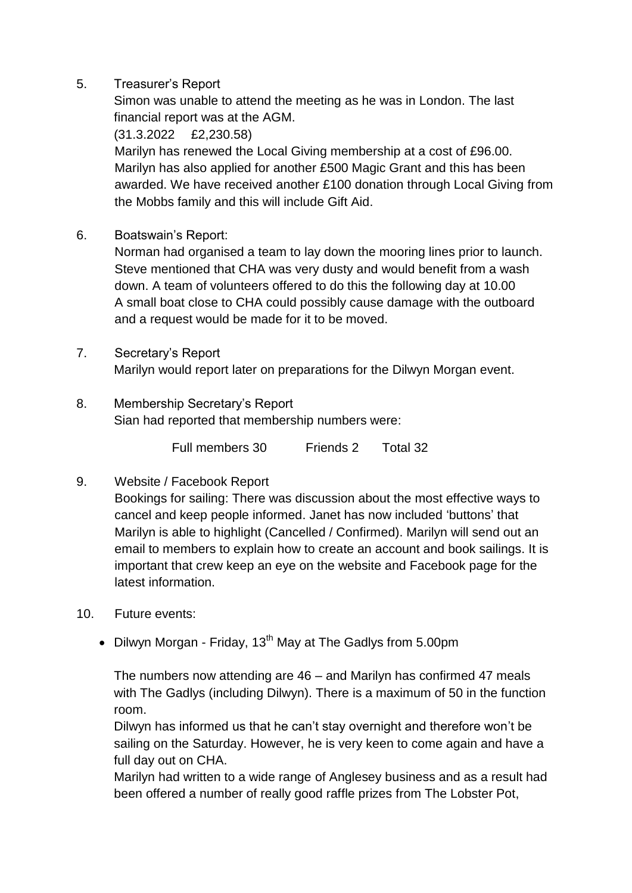5. Treasurer's Report

Simon was unable to attend the meeting as he was in London. The last financial report was at the AGM.

(31.3.2022 £2,230.58)

Marilyn has renewed the Local Giving membership at a cost of £96.00. Marilyn has also applied for another £500 Magic Grant and this has been awarded. We have received another £100 donation through Local Giving from the Mobbs family and this will include Gift Aid.

6. Boatswain's Report:

Norman had organised a team to lay down the mooring lines prior to launch. Steve mentioned that CHA was very dusty and would benefit from a wash down. A team of volunteers offered to do this the following day at 10.00 A small boat close to CHA could possibly cause damage with the outboard and a request would be made for it to be moved.

- 7. Secretary's Report Marilyn would report later on preparations for the Dilwyn Morgan event.
- 8. Membership Secretary's Report Sian had reported that membership numbers were:

Full members 30 Friends 2 Total 32

9. Website / Facebook Report

Bookings for sailing: There was discussion about the most effective ways to cancel and keep people informed. Janet has now included 'buttons' that Marilyn is able to highlight (Cancelled / Confirmed). Marilyn will send out an email to members to explain how to create an account and book sailings. It is important that crew keep an eye on the website and Facebook page for the latest information.

- 10. Future events:
	- Dilwyn Morgan Friday,  $13<sup>th</sup>$  May at The Gadlys from 5.00pm

The numbers now attending are 46 – and Marilyn has confirmed 47 meals with The Gadlys (including Dilwyn). There is a maximum of 50 in the function room.

Dilwyn has informed us that he can't stay overnight and therefore won't be sailing on the Saturday. However, he is very keen to come again and have a full day out on CHA.

Marilyn had written to a wide range of Anglesey business and as a result had been offered a number of really good raffle prizes from The Lobster Pot,